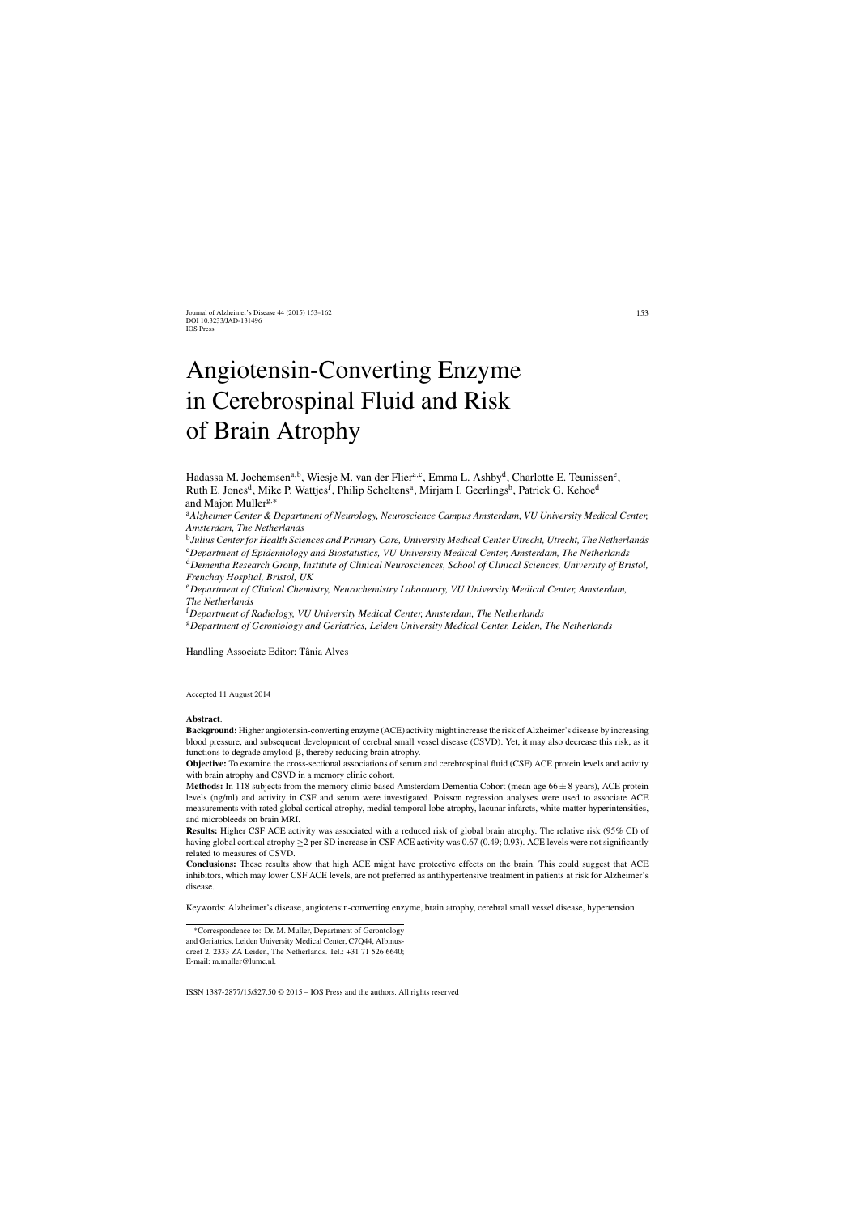# Angiotensin-Converting Enzyme in Cerebrospinal Fluid and Risk of Brain Atrophy

Hadassa M. Jochemsen<sup>a,b</sup>, Wiesje M. van der Flier<sup>a,c</sup>, Emma L. Ashby<sup>d</sup>, Charlotte E. Teunissen<sup>e</sup>, Ruth E. Jones<sup>d</sup>, Mike P. Wattjes<sup>f</sup>, Philip Scheltens<sup>a</sup>, Mirjam I. Geerlings<sup>b</sup>, Patrick G. Kehoe<sup>d</sup> and Majon Muller<sup>g,∗</sup>

<sup>a</sup>*Alzheimer Center & Department of Neurology, Neuroscience Campus Amsterdam, VU University Medical Center, Amsterdam, The Netherlands*

<sup>b</sup>*Julius Center for Health Sciences and Primary Care, University Medical Center Utrecht, Utrecht, The Netherlands*

<sup>c</sup>*Department of Epidemiology and Biostatistics, VU University Medical Center, Amsterdam, The Netherlands*

<sup>d</sup>*Dementia Research Group, Institute of Clinical Neurosciences, School of Clinical Sciences, University of Bristol, Frenchay Hospital, Bristol, UK*

<sup>e</sup>*Department of Clinical Chemistry, Neurochemistry Laboratory, VU University Medical Center, Amsterdam, The Netherlands*

<sup>f</sup>*Department of Radiology, VU University Medical Center, Amsterdam, The Netherlands*

<sup>g</sup>*Department of Gerontology and Geriatrics, Leiden University Medical Center, Leiden, The Netherlands*

Handling Associate Editor: Tânia Alves

Accepted 11 August 2014

#### **Abstract**.

**Background:** Higher angiotensin-converting enzyme (ACE) activity might increase the risk of Alzheimer's disease by increasing blood pressure, and subsequent development of cerebral small vessel disease (CSVD). Yet, it may also decrease this risk, as it functions to degrade amyloid- $\beta$ , thereby reducing brain atrophy.

**Objective:** To examine the cross-sectional associations of serum and cerebrospinal fluid (CSF) ACE protein levels and activity with brain atrophy and CSVD in a memory clinic cohort.

**Methods:** In 118 subjects from the memory clinic based Amsterdam Dementia Cohort (mean age 66 ± 8 years), ACE protein levels (ng/ml) and activity in CSF and serum were investigated. Poisson regression analyses were used to associate ACE measurements with rated global cortical atrophy, medial temporal lobe atrophy, lacunar infarcts, white matter hyperintensities, and microbleeds on brain MRI.

**Results:** Higher CSF ACE activity was associated with a reduced risk of global brain atrophy. The relative risk (95% CI) of having global cortical atrophy ≥2 per SD increase in CSF ACE activity was 0.67 (0.49; 0.93). ACE levels were not significantly related to measures of CSVD.

**Conclusions:** These results show that high ACE might have protective effects on the brain. This could suggest that ACE inhibitors, which may lower CSF ACE levels, are not preferred as antihypertensive treatment in patients at risk for Alzheimer's disease.

Keywords: Alzheimer's disease, angiotensin-converting enzyme, brain atrophy, cerebral small vessel disease, hypertension

<sup>∗</sup>Correspondence to: Dr. M. Muller, Department of Gerontology and Geriatrics, Leiden University Medical Center, C7Q44, Albinusdreef 2, 2333 ZA Leiden, The Netherlands. Tel.: +31 71 526 6640; E-mail: [m.muller@lumc.nl](mailto:m.muller@lumc.nl).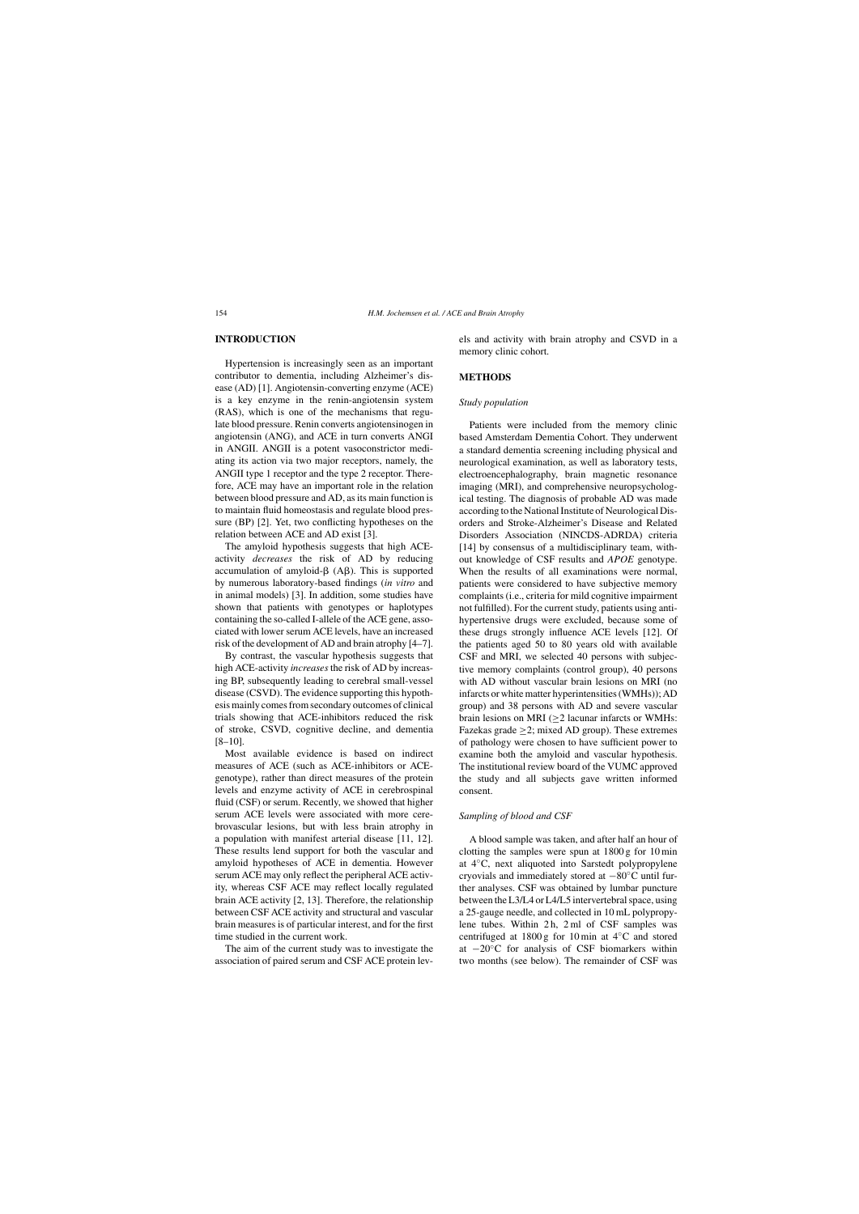# **INTRODUCTION**

Hypertension is increasingly seen as an important contributor to dementia, including Alzheimer's disease (AD) [1]. Angiotensin-converting enzyme (ACE) is a key enzyme in the renin-angiotensin system (RAS), which is one of the mechanisms that regulate blood pressure. Renin converts angiotensinogen in angiotensin (ANG), and ACE in turn converts ANGI in ANGII. ANGII is a potent vasoconstrictor mediating its action via two major receptors, namely, the ANGII type 1 receptor and the type 2 receptor. Therefore, ACE may have an important role in the relation between blood pressure and AD, as its main function is to maintain fluid homeostasis and regulate blood pressure (BP) [2]. Yet, two conflicting hypotheses on the relation between ACE and AD exist [3].

The amyloid hypothesis suggests that high ACEactivity *decreases* the risk of AD by reducing accumulation of amyloid- $\beta$  (A $\beta$ ). This is supported by numerous laboratory-based findings (*in vitro* and in animal models) [3]. In addition, some studies have shown that patients with genotypes or haplotypes containing the so-called I-allele of the ACE gene, associated with lower serum ACE levels, have an increased risk of the development of AD and brain atrophy [4–7].

By contrast, the vascular hypothesis suggests that high ACE-activity *increases*the risk of AD by increasing BP, subsequently leading to cerebral small-vessel disease (CSVD). The evidence supporting this hypothesis mainly comes from secondary outcomes of clinical trials showing that ACE-inhibitors reduced the risk of stroke, CSVD, cognitive decline, and dementia [8–10].

Most available evidence is based on indirect measures of ACE (such as ACE-inhibitors or ACEgenotype), rather than direct measures of the protein levels and enzyme activity of ACE in cerebrospinal fluid (CSF) or serum. Recently, we showed that higher serum ACE levels were associated with more cerebrovascular lesions, but with less brain atrophy in a population with manifest arterial disease [11, 12]. These results lend support for both the vascular and amyloid hypotheses of ACE in dementia. However serum ACE may only reflect the peripheral ACE activity, whereas CSF ACE may reflect locally regulated brain ACE activity [2, 13]. Therefore, the relationship between CSF ACE activity and structural and vascular brain measures is of particular interest, and for the first time studied in the current work.

The aim of the current study was to investigate the association of paired serum and CSF ACE protein levels and activity with brain atrophy and CSVD in a memory clinic cohort.

## **METHODS**

## *Study population*

Patients were included from the memory clinic based Amsterdam Dementia Cohort. They underwent a standard dementia screening including physical and neurological examination, as well as laboratory tests, electroencephalography, brain magnetic resonance imaging (MRI), and comprehensive neuropsychological testing. The diagnosis of probable AD was made according to the National Institute of Neurological Disorders and Stroke-Alzheimer's Disease and Related Disorders Association (NINCDS-ADRDA) criteria [14] by consensus of a multidisciplinary team, without knowledge of CSF results and *APOE* genotype. When the results of all examinations were normal, patients were considered to have subjective memory complaints (i.e., criteria for mild cognitive impairment not fulfilled). For the current study, patients using antihypertensive drugs were excluded, because some of these drugs strongly influence ACE levels [12]. Of the patients aged 50 to 80 years old with available CSF and MRI, we selected 40 persons with subjective memory complaints (control group), 40 persons with AD without vascular brain lesions on MRI (no infarcts or white matter hyperintensities (WMHs)); AD group) and 38 persons with AD and severe vascular brain lesions on MRI ( $\geq$ 2 lacunar infarcts or WMHs: Fazekas grade ≥2; mixed AD group). These extremes of pathology were chosen to have sufficient power to examine both the amyloid and vascular hypothesis. The institutional review board of the VUMC approved the study and all subjects gave written informed consent.

#### *Sampling of blood and CSF*

A blood sample was taken, and after half an hour of clotting the samples were spun at 1800 g for 10 min at 4◦C, next aliquoted into Sarstedt polypropylene cryovials and immediately stored at −80◦C until further analyses. CSF was obtained by lumbar puncture between the L3/L4 or L4/L5 intervertebral space, using a 25-gauge needle, and collected in 10 mL polypropylene tubes. Within 2 h, 2 ml of CSF samples was centrifuged at 1800 g for 10 min at 4◦C and stored at −20◦C for analysis of CSF biomarkers within two months (see below). The remainder of CSF was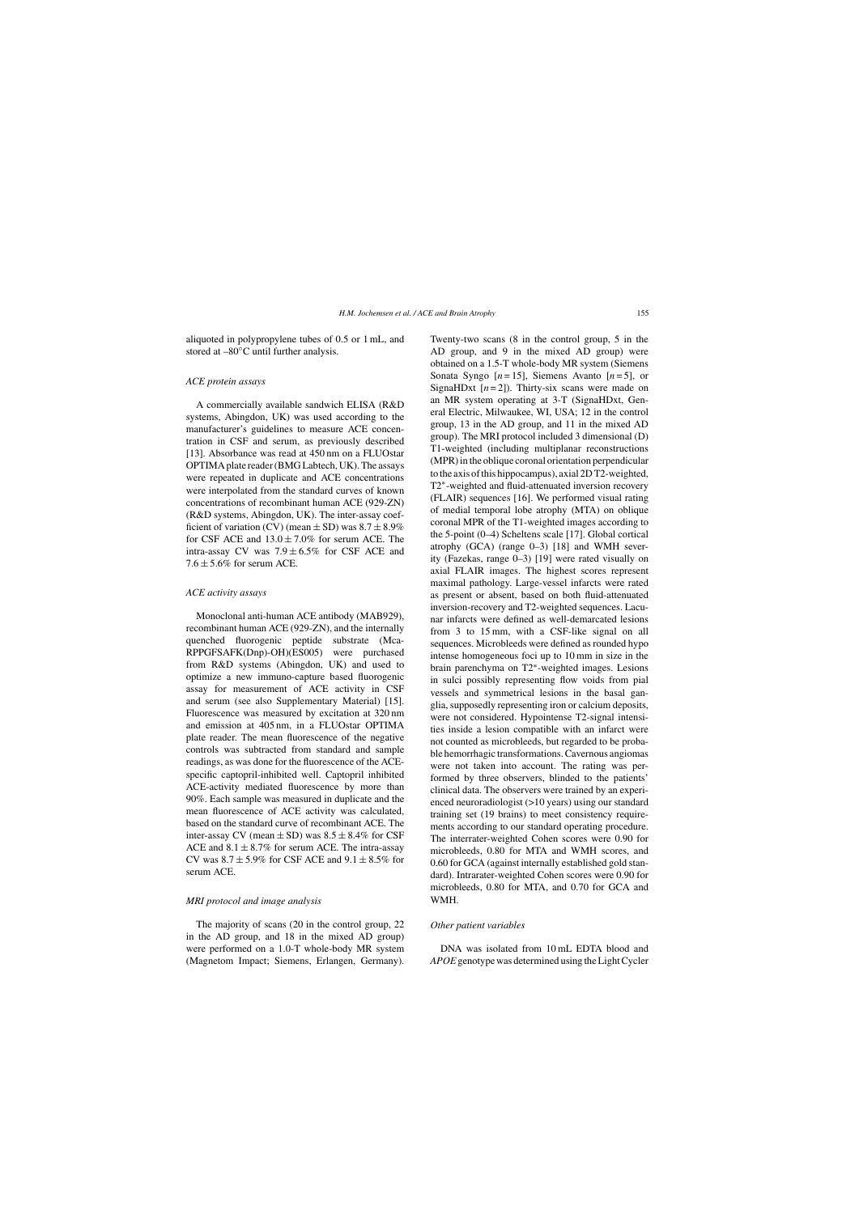aliquoted in polypropylene tubes of 0.5 or 1 mL, and stored at –80◦C until further analysis.

## *ACE protein assays*

A commercially available sandwich ELISA (R&D systems, Abingdon, UK) was used according to the manufacturer's guidelines to measure ACE concentration in CSF and serum, as previously described [13]. Absorbance was read at 450 nm on a FLUOstar OPTIMA plate reader (BMG Labtech, UK). The assays were repeated in duplicate and ACE concentrations were interpolated from the standard curves of known concentrations of recombinant human ACE (929-ZN) (R&D systems, Abingdon, UK). The inter-assay coefficient of variation (CV) (mean  $\pm$  SD) was  $8.7 \pm 8.9\%$ for CSF ACE and  $13.0 \pm 7.0\%$  for serum ACE. The intra-assay CV was  $7.9 \pm 6.5\%$  for CSF ACE and  $7.6 \pm 5.6\%$  for serum ACE.

## *ACE activity assays*

Monoclonal anti-human ACE antibody (MAB929), recombinant human ACE (929-ZN), and the internally quenched fluorogenic peptide substrate (Mca-RPPGFSAFK(Dnp)-OH)(ES005) were purchased from R&D systems (Abingdon, UK) and used to optimize a new immuno-capture based fluorogenic assay for measurement of ACE activity in CSF and serum (see also Supplementary Material) [15]. Fluorescence was measured by excitation at 320 nm and emission at 405 nm, in a FLUOstar OPTIMA plate reader. The mean fluorescence of the negative controls was subtracted from standard and sample readings, as was done for the fluorescence of the ACEspecific captopril-inhibited well. Captopril inhibited ACE-activity mediated fluorescence by more than 90%. Each sample was measured in duplicate and the mean fluorescence of ACE activity was calculated, based on the standard curve of recombinant ACE. The inter-assay CV (mean  $\pm$  SD) was  $8.5 \pm 8.4\%$  for CSF ACE and  $8.1 \pm 8.7\%$  for serum ACE. The intra-assay CV was  $8.7 \pm 5.9\%$  for CSF ACE and  $9.1 \pm 8.5\%$  for serum ACE.

## *MRI protocol and image analysis*

The majority of scans (20 in the control group, 22 in the AD group, and 18 in the mixed AD group) were performed on a 1.0-T whole-body MR system (Magnetom Impact; Siemens, Erlangen, Germany). Twenty-two scans (8 in the control group, 5 in the AD group, and 9 in the mixed AD group) were obtained on a 1.5-T whole-body MR system (Siemens Sonata Syngo  $[n=15]$ , Siemens Avanto  $[n=5]$ , or SignaHDxt  $[n=2]$ ). Thirty-six scans were made on an MR system operating at 3-T (SignaHDxt, General Electric, Milwaukee, WI, USA; 12 in the control group, 13 in the AD group, and 11 in the mixed AD group). The MRI protocol included 3 dimensional (D) T1-weighted (including multiplanar reconstructions (MPR) in the oblique coronal orientation perpendicular to the axis of this hippocampus), axial 2D T2-weighted, T2∗-weighted and fluid-attenuated inversion recovery (FLAIR) sequences [16]. We performed visual rating of medial temporal lobe atrophy (MTA) on oblique coronal MPR of the T1-weighted images according to the 5-point (0–4) Scheltens scale [17]. Global cortical atrophy (GCA) (range 0–3) [18] and WMH severity (Fazekas, range 0–3) [19] were rated visually on axial FLAIR images. The highest scores represent maximal pathology. Large-vessel infarcts were rated as present or absent, based on both fluid-attenuated inversion-recovery and T2-weighted sequences. Lacunar infarcts were defined as well-demarcated lesions from 3 to 15 mm, with a CSF-like signal on all sequences. Microbleeds were defined as rounded hypo intense homogeneous foci up to 10 mm in size in the brain parenchyma on T2∗-weighted images. Lesions in sulci possibly representing flow voids from pial vessels and symmetrical lesions in the basal ganglia, supposedly representing iron or calcium deposits, were not considered. Hypointense T2-signal intensities inside a lesion compatible with an infarct were not counted as microbleeds, but regarded to be probable hemorrhagic transformations. Cavernous angiomas were not taken into account. The rating was performed by three observers, blinded to the patients' clinical data. The observers were trained by an experienced neuroradiologist (>10 years) using our standard training set (19 brains) to meet consistency requirements according to our standard operating procedure. The interrater-weighted Cohen scores were 0.90 for microbleeds, 0.80 for MTA and WMH scores, and 0.60 for GCA (against internally established gold standard). Intrarater-weighted Cohen scores were 0.90 for microbleeds, 0.80 for MTA, and 0.70 for GCA and WMH.

# *Other patient variables*

DNA was isolated from 10 mL EDTA blood and *APOE*genotype was determined using the Light Cycler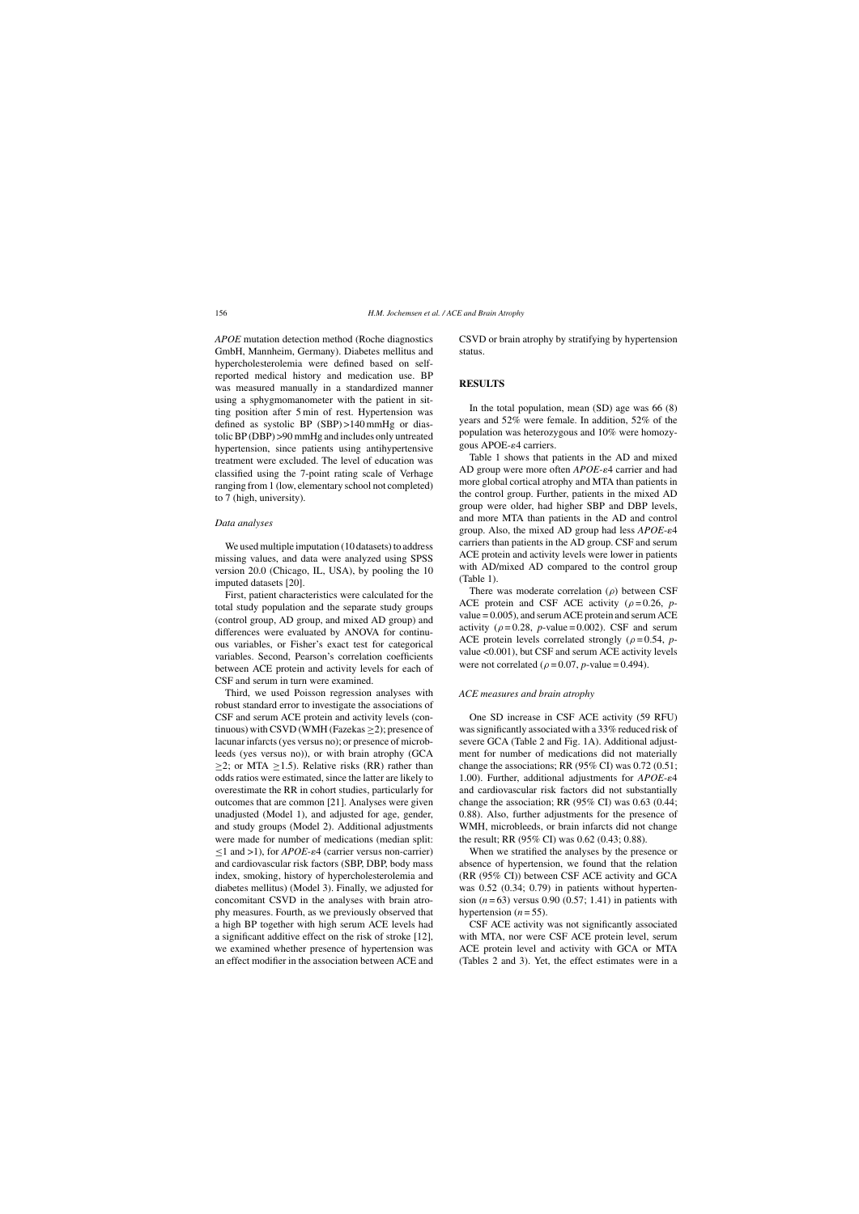*APOE* mutation detection method (Roche diagnostics GmbH, Mannheim, Germany). Diabetes mellitus and hypercholesterolemia were defined based on selfreported medical history and medication use. BP was measured manually in a standardized manner using a sphygmomanometer with the patient in sitting position after 5 min of rest. Hypertension was defined as systolic BP (SBP) >140 mmHg or diastolic BP (DBP) >90 mmHg and includes only untreated hypertension, since patients using antihypertensive treatment were excluded. The level of education was classified using the 7-point rating scale of Verhage ranging from 1 (low, elementary school not completed) to 7 (high, university).

## *Data analyses*

We used multiple imputation (10 datasets) to address missing values, and data were analyzed using SPSS version 20.0 (Chicago, IL, USA), by pooling the 10 imputed datasets [20].

First, patient characteristics were calculated for the total study population and the separate study groups (control group, AD group, and mixed AD group) and differences were evaluated by ANOVA for continuous variables, or Fisher's exact test for categorical variables. Second, Pearson's correlation coefficients between ACE protein and activity levels for each of CSF and serum in turn were examined.

Third, we used Poisson regression analyses with robust standard error to investigate the associations of CSF and serum ACE protein and activity levels (continuous) with CSVD (WMH (Fazekas  $\geq$ 2); presence of lacunar infarcts (yes versus no); or presence of microbleeds (yes versus no)), or with brain atrophy (GCA  $\geq$ 2; or MTA  $\geq$ 1.5). Relative risks (RR) rather than odds ratios were estimated, since the latter are likely to overestimate the RR in cohort studies, particularly for outcomes that are common [21]. Analyses were given unadjusted (Model 1), and adjusted for age, gender, and study groups (Model 2). Additional adjustments were made for number of medications (median split:  $\leq$ 1 and >1), for *APOE*- $\varepsilon$ 4 (carrier versus non-carrier) and cardiovascular risk factors (SBP, DBP, body mass index, smoking, history of hypercholesterolemia and diabetes mellitus) (Model 3). Finally, we adjusted for concomitant CSVD in the analyses with brain atrophy measures. Fourth, as we previously observed that a high BP together with high serum ACE levels had a significant additive effect on the risk of stroke [12], we examined whether presence of hypertension was an effect modifier in the association between ACE and

CSVD or brain atrophy by stratifying by hypertension status.

## **RESULTS**

In the total population, mean (SD) age was 66 (8) years and 52% were female. In addition, 52% of the population was heterozygous and 10% were homozygous APOE- $\varepsilon$ 4 carriers.

Table 1 shows that patients in the AD and mixed AD group were more often *APOE-* $\varepsilon$ 4 carrier and had more global cortical atrophy and MTA than patients in the control group. Further, patients in the mixed AD group were older, had higher SBP and DBP levels, and more MTA than patients in the AD and control group. Also, the mixed AD group had less  $APOE - \varepsilon 4$ carriers than patients in the AD group. CSF and serum ACE protein and activity levels were lower in patients with AD/mixed AD compared to the control group (Table 1).

There was moderate correlation  $(\rho)$  between CSF ACE protein and CSF ACE activity  $(\rho = 0.26, p$ value = 0.005), and serum ACE protein and serum ACE activity ( $\rho = 0.28$ , *p*-value = 0.002). CSF and serum ACE protein levels correlated strongly ( $\rho = 0.54$ , *p*value <0.001), but CSF and serum ACE activity levels were not correlated ( $\rho = 0.07$ , *p*-value = 0.494).

## *ACE measures and brain atrophy*

One SD increase in CSF ACE activity (59 RFU) was significantly associated with a 33% reduced risk of severe GCA (Table 2 and Fig. 1A). Additional adjustment for number of medications did not materially change the associations; RR (95% CI) was 0.72 (0.51; 1.00). Further, additional adjustments for  $APOE-<sub>e</sub>4$ and cardiovascular risk factors did not substantially change the association; RR (95% CI) was 0.63 (0.44; 0.88). Also, further adjustments for the presence of WMH, microbleeds, or brain infarcts did not change the result; RR (95% CI) was 0.62 (0.43; 0.88).

When we stratified the analyses by the presence or absence of hypertension, we found that the relation (RR (95% CI)) between CSF ACE activity and GCA was 0.52 (0.34; 0.79) in patients without hypertension (*n* = 63) versus 0.90 (0.57; 1.41) in patients with hypertension  $(n=55)$ .

CSF ACE activity was not significantly associated with MTA, nor were CSF ACE protein level, serum ACE protein level and activity with GCA or MTA (Tables 2 and 3). Yet, the effect estimates were in a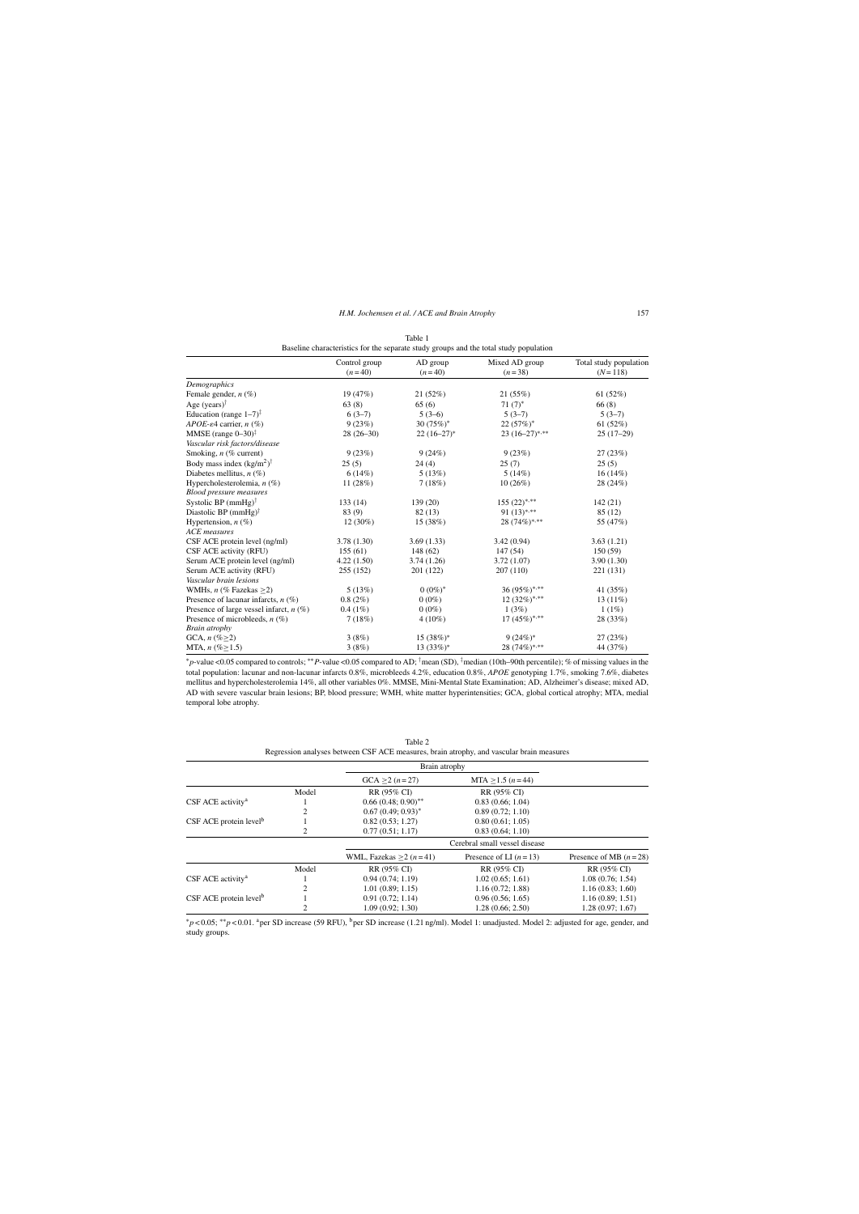| Baseline characteristics for the separate study groups and the total study population |                           |                      |                            |                                       |  |
|---------------------------------------------------------------------------------------|---------------------------|----------------------|----------------------------|---------------------------------------|--|
|                                                                                       | Control group<br>$(n=40)$ | AD group<br>$(n=40)$ | Mixed AD group<br>$(n=38)$ | Total study population<br>$(N = 118)$ |  |
| Demographics                                                                          |                           |                      |                            |                                       |  |
| Female gender, $n$ (%)                                                                | 19 (47%)                  | 21(52%)              | 21(55%)                    | 61(52%)                               |  |
| Age (years) <sup><math>\dagger</math></sup>                                           | 63(8)                     | 65(6)                | $71(7)^*$                  | 66(8)                                 |  |
| Education (range $1-7$ ) <sup><math>\ddagger</math></sup>                             | $6(3-7)$                  | $5(3-6)$             | $5(3-7)$                   | $5(3-7)$                              |  |
| $APOE$ - $\varepsilon$ 4 carrier, n $(\%)$                                            | 9(23%)                    | 30 $(75%)^*$         | $22(57%)^*$                | 61 $(52%)$                            |  |
| MMSE (range $0-30$ ) <sup>‡</sup>                                                     | $28(26-30)$               | $22(16-27)^*$        | $23(16-27)$ ***            | $25(17-29)$                           |  |
| Vascular risk factors/disease                                                         |                           |                      |                            |                                       |  |
| Smoking, $n$ (% current)                                                              | 9(23%)                    | 9(24%)               | 9(23%)                     | 27(23%)                               |  |
| Body mass index $(kg/m^2)$ <sup>†</sup>                                               | 25(5)                     | 24(4)                | 25(7)                      | 25(5)                                 |  |
| Diabetes mellitus, $n$ (%)                                                            | 6(14%)                    | 5(13%)               | 5(14%)                     | $16(14\%)$                            |  |
| Hypercholesterolemia, $n$ (%)                                                         | 11 (28%)                  | 7(18%)               | 10(26%)                    | 28 (24%)                              |  |
| <b>Blood pressure measures</b>                                                        |                           |                      |                            |                                       |  |
| Systolic BP $(mmHg)$ <sup>†</sup>                                                     | 133(14)                   | 139 (20)             | $155 (22)^{*,**}$          | 142(21)                               |  |
| Diastolic BP $(mmHg)$ <sup>†</sup>                                                    | 83 (9)                    | 82(13)               | 91 $(13)^{*,**}$           | 85(12)                                |  |
| Hypertension, $n$ (%)                                                                 | $12(30\%)$                | 15 (38%)             | 28 (74%)*,**               | 55 (47%)                              |  |
| <b>ACE</b> measures                                                                   |                           |                      |                            |                                       |  |
| CSF ACE protein level (ng/ml)                                                         | 3.78(1.30)                | 3.69(1.33)           | 3.42(0.94)                 | 3.63(1.21)                            |  |
| CSF ACE activity (RFU)                                                                | 155(61)                   | 148 (62)             | 147(54)                    | 150(59)                               |  |
| Serum ACE protein level (ng/ml)                                                       | 4.22(1.50)                | 3.74(1.26)           | 3.72(1.07)                 | 3.90(1.30)                            |  |
| Serum ACE activity (RFU)                                                              | 255 (152)                 | 201 (122)            | 207(110)                   | 221 (131)                             |  |
| Vascular brain lesions                                                                |                           |                      |                            |                                       |  |
| WMHs, $n$ (% Fazekas $\geq$ 2)                                                        | 5(13%)                    | $0(0\%)^*$           | 36 (95%)*,**               | 41 (35%)                              |  |
| Presence of lacunar infarcts, $n$ (%)                                                 | 0.8(2%)                   | $0(0\%)$             | $12(32\%)$ ***             | $13(11\%)$                            |  |
| Presence of large vessel infarct, $n$ (%)                                             | $0.4(1\%)$                | $0(0\%)$             | 1(3%)                      | $1(1\%)$                              |  |
| Presence of microbleeds, $n$ (%)                                                      | 7(18%)                    | $4(10\%)$            | 17 $(45\%)$ ***            | 28 (33%)                              |  |
| <b>Brain</b> atrophy                                                                  |                           |                      |                            |                                       |  |
| GCA, $n (\% \geq 2)$                                                                  | 3(8%)                     | $15(38%)$ *          | $9(24%)$ *                 | 27(23%)                               |  |
| MTA, $n (\% \ge 1.5)$                                                                 | 3(8%)                     | $13(33%)^*$          | 28 (74%)*,**               | 44 (37%)                              |  |

| Table 1 |  |  |  |  |  |
|---------|--|--|--|--|--|
|         |  |  |  |  |  |

∗*p*-value <0.05 compared to controls; ∗∗*P*-value <0.05 compared to AD; †mean (SD), ‡median (10th–90th percentile); % of missing values in the total population: lacunar and non-lacunar infarcts 0.8%, microbleeds 4.2%, education 0.8%, *APOE* genotyping 1.7%, smoking 7.6%, diabetes mellitus and hypercholesterolemia 14%, all other variables 0%. MMSE, Mini-Mental State Examination; AD, Alzheimer's disease; mixed AD, AD with severe vascular brain lesions; BP, blood pressure; WMH, white matter hyperintensities; GCA, global cortical atrophy; MTA, medial temporal lobe atrophy.

| Table 2                                                                                  |
|------------------------------------------------------------------------------------------|
| Regression analyses between CSF ACE measures, brain atrophy, and vascular brain measures |

|                                      |       | Brain atrophy           |                               |                         |
|--------------------------------------|-------|-------------------------|-------------------------------|-------------------------|
|                                      |       | $GCA > 2 (n=27)$        | $MTA > 1.5 (n = 44)$          |                         |
|                                      | Model | RR (95% CI)             | RR (95% CI)                   |                         |
| CSF ACE activity <sup>a</sup>        |       | $0.66(0.48; 0.90)$ **   | 0.83(0.66; 1.04)              |                         |
|                                      | 2     | $0.67(0.49; 0.93)^*$    | 0.89(0.72; 1.10)              |                         |
| $CSF$ ACE protein level <sup>b</sup> |       | 0.82(0.53; 1.27)        | 0.80(0.61; 1.05)              |                         |
|                                      |       | 0.77(0.51; 1.17)        | 0.83(0.64; 1.10)              |                         |
|                                      |       |                         | Cerebral small vessel disease |                         |
|                                      |       | WML, Fazekas $>2(n=41)$ | Presence of LI $(n=13)$       | Presence of MB $(n=28)$ |
|                                      | Model | RR (95% CI)             | RR (95% CI)                   | RR (95% CI)             |
| CSF ACE activity <sup>a</sup>        |       | 0.94(0.74; 1.19)        | 1.02(0.65; 1.61)              | 1.08(0.76; 1.54)        |
|                                      |       | 1.01(0.89; 1.15)        | 1.16(0.72; 1.88)              | 1.16(0.83; 1.60)        |
| $CSF$ ACE protein level <sup>b</sup> |       | 0.91(0.72; 1.14)        | 0.96(0.56; 1.65)              | 1.16(0.89; 1.51)        |
|                                      |       | 1.09(0.92; 1.30)        | 1.28(0.66; 2.50)              | 1.28(0.97; 1.67)        |

<sup>∗</sup>*p* < 0.05; ∗∗*p* < 0.01. aper SD increase (59 RFU), bper SD increase (1.21 ng/ml). Model 1: unadjusted. Model 2: adjusted for age, gender, and study groups.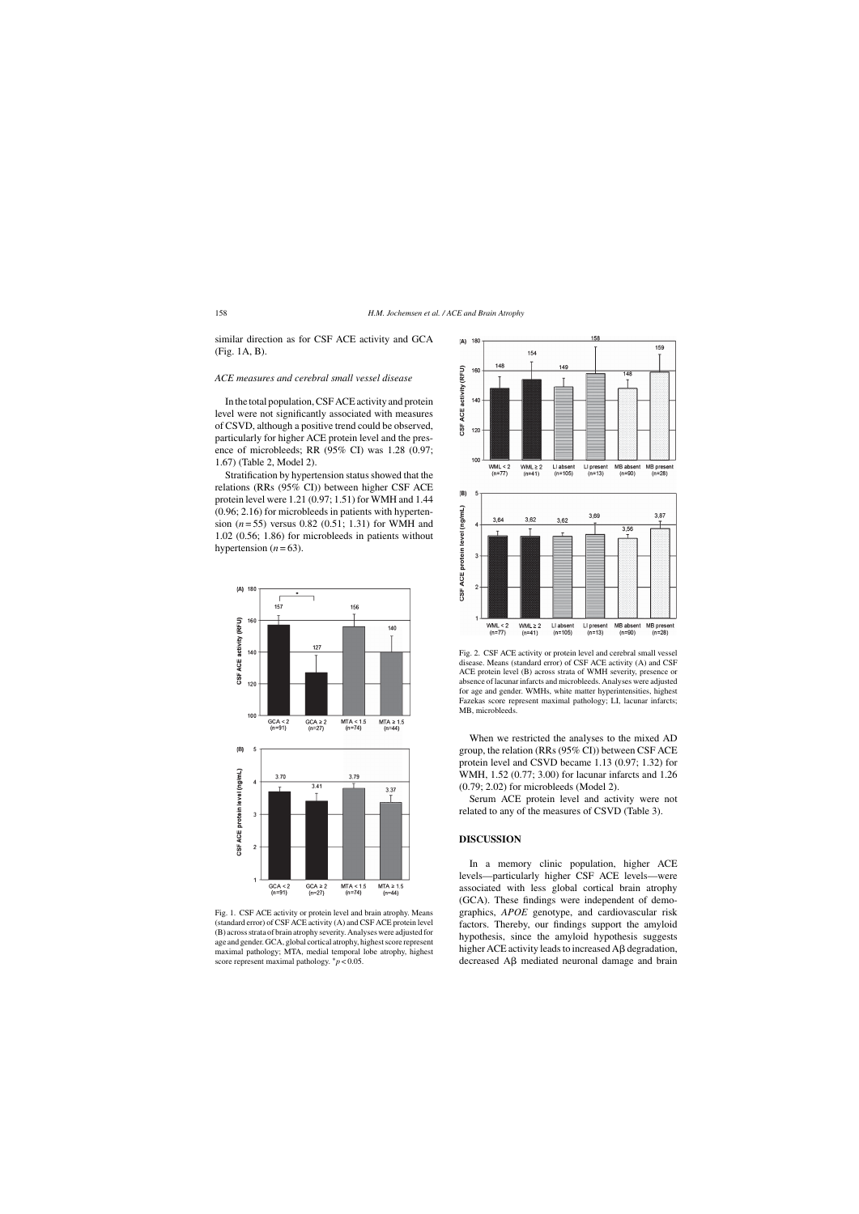similar direction as for CSF ACE activity and GCA (Fig. 1A, B).

#### *ACE measures and cerebral small vessel disease*

In the total population, CSF ACE activity and protein level were not significantly associated with measures of CSVD, although a positive trend could be observed, particularly for higher ACE protein level and the presence of microbleeds; RR (95% CI) was 1.28 (0.97; 1.67) (Table 2, Model 2).

Stratification by hypertension status showed that the relations (RRs (95% CI)) between higher CSF ACE protein level were 1.21 (0.97; 1.51) for WMH and 1.44 (0.96; 2.16) for microbleeds in patients with hypertension (*n* = 55) versus 0.82 (0.51; 1.31) for WMH and 1.02 (0.56; 1.86) for microbleeds in patients without hypertension  $(n=63)$ .



Fig. 1. CSF ACE activity or protein level and brain atrophy. Means (standard error) of CSF ACE activity (A) and CSF ACE protein level (B) across strata of brain atrophy severity. Analyses were adjusted for age and gender. GCA, global cortical atrophy, highest score represent maximal pathology; MTA, medial temporal lobe atrophy, highest score represent maximal pathology. ∗*p* < 0.05.



Fig. 2. CSF ACE activity or protein level and cerebral small vessel disease. Means (standard error) of CSF ACE activity (A) and CSF ACE protein level (B) across strata of WMH severity, presence or absence of lacunar infarcts and microbleeds. Analyses were adjusted for age and gender. WMHs, white matter hyperintensities, highest Fazekas score represent maximal pathology; LI, lacunar infarcts; MB, microbleeds.

When we restricted the analyses to the mixed AD group, the relation (RRs (95% CI)) between CSF ACE protein level and CSVD became 1.13 (0.97; 1.32) for WMH, 1.52 (0.77; 3.00) for lacunar infarcts and 1.26 (0.79; 2.02) for microbleeds (Model 2).

Serum ACE protein level and activity were not related to any of the measures of CSVD (Table 3).

# **DISCUSSION**

In a memory clinic population, higher ACE levels—particularly higher CSF ACE levels—were associated with less global cortical brain atrophy (GCA). These findings were independent of demographics, *APOE* genotype, and cardiovascular risk factors. Thereby, our findings support the amyloid hypothesis, since the amyloid hypothesis suggests higher ACE activity leads to increased  $\overrightarrow{AB}$  degradation, decreased  $\overrightarrow{AB}$  mediated neuronal damage and brain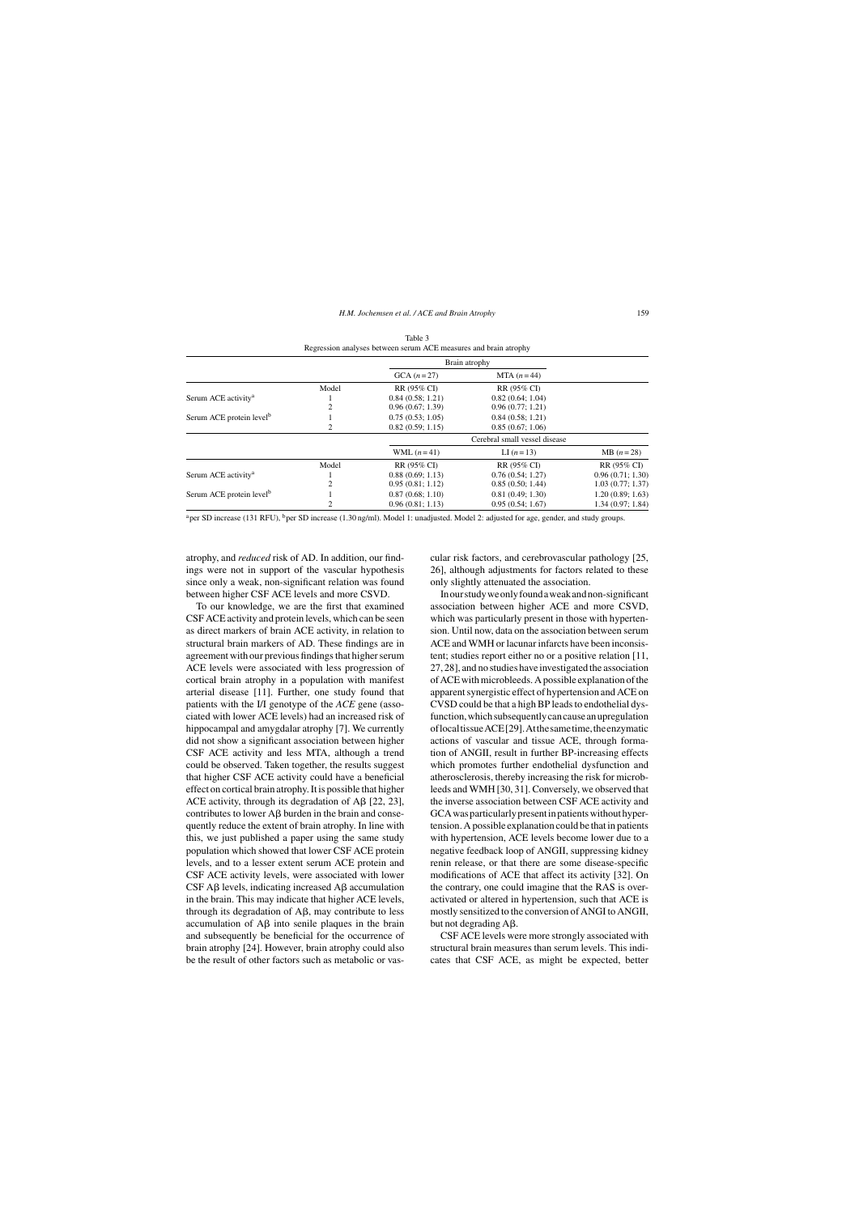|                                      |       | Brain atrophy                 |                  |                  |
|--------------------------------------|-------|-------------------------------|------------------|------------------|
|                                      |       | $GCA (n=27)$                  | MTA $(n=44)$     |                  |
|                                      | Model | RR (95% CI)                   | RR (95% CI)      |                  |
| Serum ACE activity <sup>a</sup>      |       | 0.84(0.58; 1.21)              | 0.82(0.64; 1.04) |                  |
|                                      |       | 0.96(0.67; 1.39)              | 0.96(0.77; 1.21) |                  |
| Serum ACE protein level <sup>b</sup> |       | 0.75(0.53; 1.05)              | 0.84(0.58; 1.21) |                  |
|                                      |       | 0.82(0.59; 1.15)              | 0.85(0.67; 1.06) |                  |
|                                      |       | Cerebral small vessel disease |                  |                  |
|                                      |       | WML $(n=41)$                  | LI $(n=13)$      | $MB (n=28)$      |
|                                      | Model | RR (95% CI)                   | RR (95% CI)      | RR (95% CI)      |
| Serum ACE activity <sup>a</sup>      |       | 0.88(0.69; 1.13)              | 0.76(0.54; 1.27) | 0.96(0.71; 1.30) |
|                                      | 2     | 0.95(0.81; 1.12)              | 0.85(0.50; 1.44) | 1.03(0.77; 1.37) |
| Serum ACE protein level <sup>b</sup> |       | 0.87(0.68; 1.10)              | 0.81(0.49; 1.30) | 1.20(0.89; 1.63) |
|                                      |       | 0.96(0.81; 1.13)              | 0.95(0.54; 1.67) | 1.34(0.97; 1.84) |

Table 3 Regression analyses between serum ACE measures and brain atrophy

<sup>a</sup>per SD increase (131 RFU), <sup>b</sup>per SD increase (1.30 ng/ml). Model 1: unadjusted. Model 2: adjusted for age, gender, and study groups.

atrophy, and *reduced* risk of AD. In addition, our findings were not in support of the vascular hypothesis since only a weak, non-significant relation was found between higher CSF ACE levels and more CSVD.

To our knowledge, we are the first that examined CSF ACE activity and protein levels, which can be seen as direct markers of brain ACE activity, in relation to structural brain markers of AD. These findings are in agreement with our previous findings that higher serum ACE levels were associated with less progression of cortical brain atrophy in a population with manifest arterial disease [11]. Further, one study found that patients with the I/I genotype of the *ACE* gene (associated with lower ACE levels) had an increased risk of hippocampal and amygdalar atrophy [7]. We currently did not show a significant association between higher CSF ACE activity and less MTA, although a trend could be observed. Taken together, the results suggest that higher CSF ACE activity could have a beneficial effect on cortical brain atrophy. It is possible that higher ACE activity, through its degradation of A $\beta$  [22, 23], contributes to lower  $\overrightarrow{AB}$  burden in the brain and consequently reduce the extent of brain atrophy. In line with this, we just published a paper using the same study population which showed that lower CSF ACE protein levels, and to a lesser extent serum ACE protein and CSF ACE activity levels, were associated with lower  $CSF AB$  levels, indicating increased  $AB$  accumulation in the brain. This may indicate that higher ACE levels, through its degradation of  $\mathbf{A}\mathbf{\beta}$ , may contribute to less accumulation of  $\overrightarrow{AB}$  into senile plaques in the brain and subsequently be beneficial for the occurrence of brain atrophy [24]. However, brain atrophy could also be the result of other factors such as metabolic or vascular risk factors, and cerebrovascular pathology [25, 26], although adjustments for factors related to these only slightly attenuated the association.

Inourstudyweonlyfoundaweakandnon-significant association between higher ACE and more CSVD, which was particularly present in those with hypertension. Until now, data on the association between serum ACE and WMH or lacunar infarcts have been inconsistent; studies report either no or a positive relation [11, 27, 28], and no studies have investigated the association of ACE with microbleeds. A possible explanation of the apparent synergistic effect of hypertension and ACE on CVSD could be that a high BP leads to endothelial dysfunction,whichsubsequentlycancauseanupregulation oflocaltissueACE[29].Atthesametime,theenzymatic actions of vascular and tissue ACE, through formation of ANGII, result in further BP-increasing effects which promotes further endothelial dysfunction and atherosclerosis, thereby increasing the risk for microbleeds and WMH [30, 31]. Conversely, we observed that the inverse association between CSF ACE activity and GCA was particularly present in patients without hypertension. A possible explanation could be that in patients with hypertension, ACE levels become lower due to a negative feedback loop of ANGII, suppressing kidney renin release, or that there are some disease-specific modifications of ACE that affect its activity [32]. On the contrary, one could imagine that the RAS is overactivated or altered in hypertension, such that ACE is mostly sensitized to the conversion of ANGI to ANGII, but not degrading  $A\beta$ .

CSF ACE levels were more strongly associated with structural brain measures than serum levels. This indicates that CSF ACE, as might be expected, better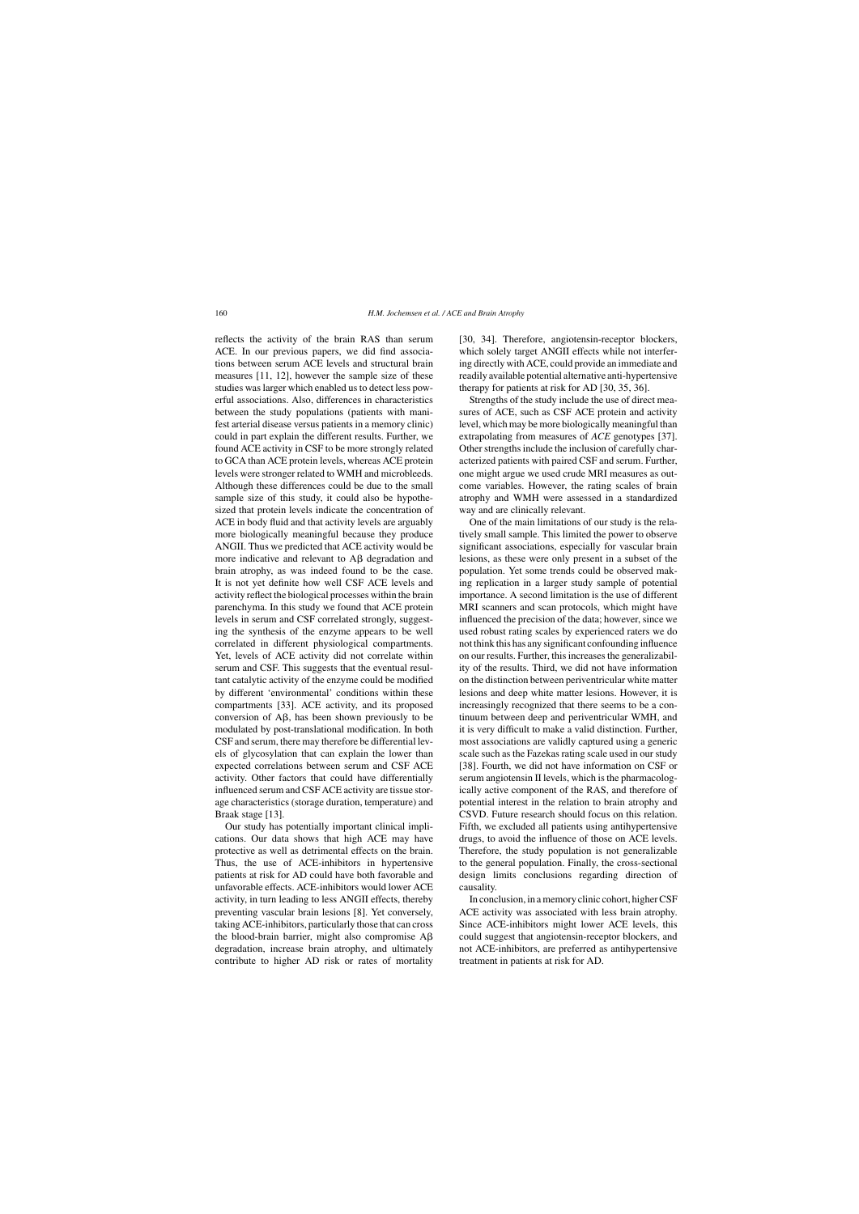reflects the activity of the brain RAS than serum ACE. In our previous papers, we did find associations between serum ACE levels and structural brain measures [11, 12], however the sample size of these studies was larger which enabled us to detect less powerful associations. Also, differences in characteristics between the study populations (patients with manifest arterial disease versus patients in a memory clinic) could in part explain the different results. Further, we found ACE activity in CSF to be more strongly related to GCA than ACE protein levels, whereas ACE protein levels were stronger related to WMH and microbleeds. Although these differences could be due to the small sample size of this study, it could also be hypothesized that protein levels indicate the concentration of ACE in body fluid and that activity levels are arguably more biologically meaningful because they produce ANGII. Thus we predicted that ACE activity would be more indicative and relevant to  $\overrightarrow{AB}$  degradation and brain atrophy, as was indeed found to be the case. It is not yet definite how well CSF ACE levels and activity reflect the biological processes within the brain parenchyma. In this study we found that ACE protein levels in serum and CSF correlated strongly, suggesting the synthesis of the enzyme appears to be well correlated in different physiological compartments. Yet, levels of ACE activity did not correlate within serum and CSF. This suggests that the eventual resultant catalytic activity of the enzyme could be modified by different 'environmental' conditions within these compartments [33]. ACE activity, and its proposed conversion of  $\overline{AB}$ , has been shown previously to be modulated by post-translational modification. In both CSF and serum, there may therefore be differential levels of glycosylation that can explain the lower than expected correlations between serum and CSF ACE activity. Other factors that could have differentially influenced serum and CSF ACE activity are tissue storage characteristics (storage duration, temperature) and Braak stage [13].

Our study has potentially important clinical implications. Our data shows that high ACE may have protective as well as detrimental effects on the brain. Thus, the use of ACE-inhibitors in hypertensive patients at risk for AD could have both favorable and unfavorable effects. ACE-inhibitors would lower ACE activity, in turn leading to less ANGII effects, thereby preventing vascular brain lesions [8]. Yet conversely, taking ACE-inhibitors, particularly those that can cross the blood-brain barrier, might also compromise  $\overrightarrow{AB}$ degradation, increase brain atrophy, and ultimately contribute to higher AD risk or rates of mortality [30, 34]. Therefore, angiotensin-receptor blockers, which solely target ANGII effects while not interfering directly with ACE, could provide an immediate and readily available potential alternative anti-hypertensive therapy for patients at risk for AD [30, 35, 36].

Strengths of the study include the use of direct measures of ACE, such as CSF ACE protein and activity level, which may be more biologically meaningful than extrapolating from measures of *ACE* genotypes [37]. Other strengths include the inclusion of carefully characterized patients with paired CSF and serum. Further, one might argue we used crude MRI measures as outcome variables. However, the rating scales of brain atrophy and WMH were assessed in a standardized way and are clinically relevant.

One of the main limitations of our study is the relatively small sample. This limited the power to observe significant associations, especially for vascular brain lesions, as these were only present in a subset of the population. Yet some trends could be observed making replication in a larger study sample of potential importance. A second limitation is the use of different MRI scanners and scan protocols, which might have influenced the precision of the data; however, since we used robust rating scales by experienced raters we do not think this has any significant confounding influence on our results. Further, this increases the generalizability of the results. Third, we did not have information on the distinction between periventricular white matter lesions and deep white matter lesions. However, it is increasingly recognized that there seems to be a continuum between deep and periventricular WMH, and it is very difficult to make a valid distinction. Further, most associations are validly captured using a generic scale such as the Fazekas rating scale used in our study [38]. Fourth, we did not have information on CSF or serum angiotensin II levels, which is the pharmacologically active component of the RAS, and therefore of potential interest in the relation to brain atrophy and CSVD. Future research should focus on this relation. Fifth, we excluded all patients using antihypertensive drugs, to avoid the influence of those on ACE levels. Therefore, the study population is not generalizable to the general population. Finally, the cross-sectional design limits conclusions regarding direction of causality.

In conclusion, in a memory clinic cohort, higher CSF ACE activity was associated with less brain atrophy. Since ACE-inhibitors might lower ACE levels, this could suggest that angiotensin-receptor blockers, and not ACE-inhibitors, are preferred as antihypertensive treatment in patients at risk for AD.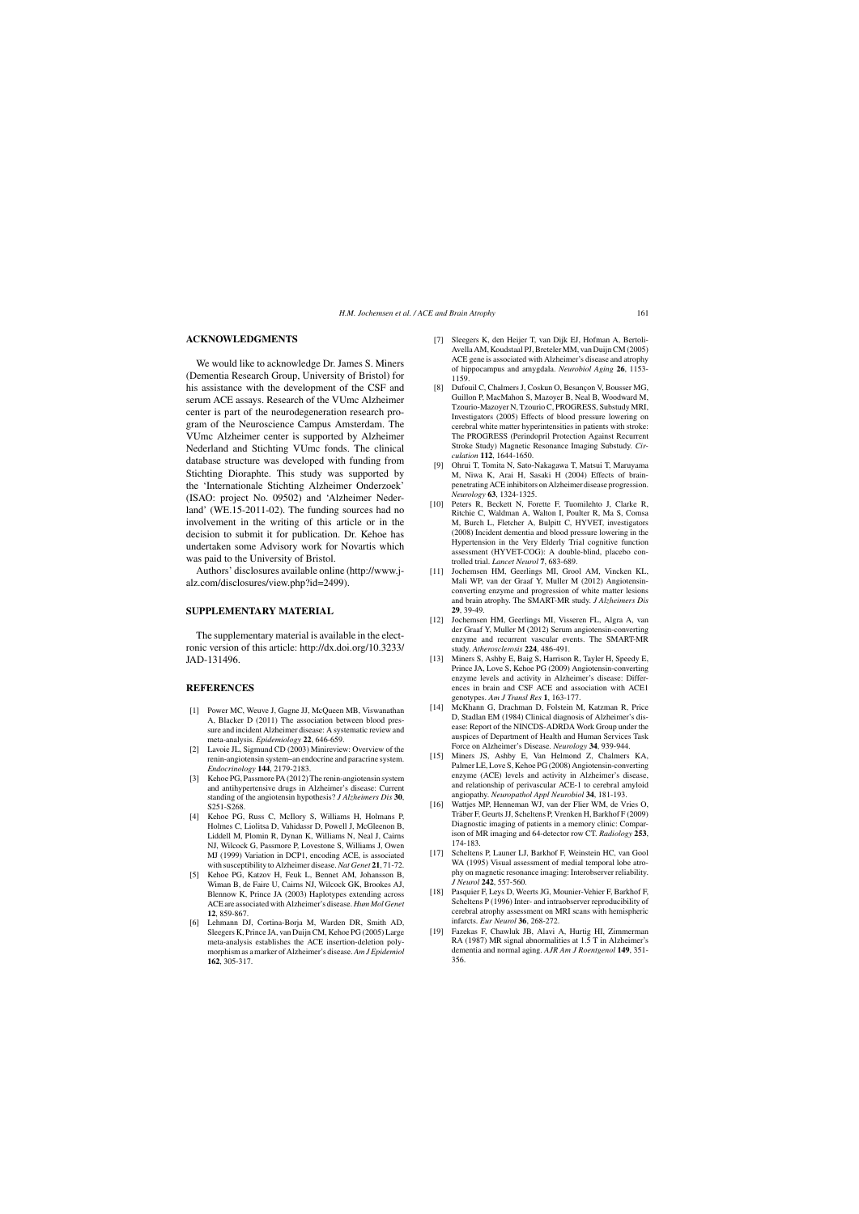## **ACKNOWLEDGMENTS**

We would like to acknowledge Dr. James S. Miners (Dementia Research Group, University of Bristol) for his assistance with the development of the CSF and serum ACE assays. Research of the VUmc Alzheimer center is part of the neurodegeneration research program of the Neuroscience Campus Amsterdam. The VUmc Alzheimer center is supported by Alzheimer Nederland and Stichting VUmc fonds. The clinical database structure was developed with funding from Stichting Dioraphte. This study was supported by the 'Internationale Stichting Alzheimer Onderzoek' (ISAO: project No. 09502) and 'Alzheimer Nederland' (WE.15-2011-02). The funding sources had no involvement in the writing of this article or in the decision to submit it for publication. Dr. Kehoe has undertaken some Advisory work for Novartis which was paid to the University of Bristol.

Authors' disclosures available online (http://www.jalz.com/disclosures/view.php?id=2499).

## **SUPPLEMENTARY MATERIAL**

The supplementary material is available in the electronic version of this article: [http://dx.doi.org/10.3233/](http://dx.doi.org/10.3233/JAD-131496) [JAD-131496.](http://dx.doi.org/10.3233/JAD-131496)

#### **REFERENCES**

- [1] Power MC, Weuve J, Gagne JJ, McQueen MB, Viswanathan A, Blacker D (2011) The association between blood pressure and incident Alzheimer disease: A systematic review and meta-analysis. *Epidemiology* **22**, 646-659.
- [2] Lavoie JL, Sigmund CD (2003) Minireview: Overview of the renin-angiotensin system–an endocrine and paracrine system. *Endocrinology* **144**, 2179-2183.
- [3] Kehoe PG, Passmore PA (2012) The renin-angiotensin system and antihypertensive drugs in Alzheimer's disease: Current standing of the angiotensin hypothesis? *J Alzheimers Dis* **30**, S251-S268.
- [4] Kehoe PG, Russ C, McIlory S, Williams H, Holmans P, Holmes C, Liolitsa D, Vahidassr D, Powell J, McGleenon B, Liddell M, Plomin R, Dynan K, Williams N, Neal J, Cairns NJ, Wilcock G, Passmore P, Lovestone S, Williams J, Owen MJ (1999) Variation in DCP1, encoding ACE, is associated with susceptibility to Alzheimer disease.*Nat Genet* **21**, 71-72.
- [5] Kehoe PG, Katzov H, Feuk L, Bennet AM, Johansson B, Wiman B, de Faire U, Cairns NJ, Wilcock GK, Brookes AJ, Blennow K, Prince JA (2003) Haplotypes extending across ACE are associated with Alzheimer's disease. *Hum Mol Genet* **12**, 859-867.
- [6] Lehmann DJ, Cortina-Borja M, Warden DR, Smith AD, Sleegers K, Prince JA, van Duijn CM, Kehoe PG (2005) Large meta-analysis establishes the ACE insertion-deletion polymorphism as a marker of Alzheimer's disease.*Am J Epidemiol* **162**, 305-317.
- [7] Sleegers K, den Heijer T, van Dijk EJ, Hofman A, Bertoli-Avella AM, Koudstaal PJ, Breteler MM, van Duijn CM (2005) ACE gene is associated with Alzheimer's disease and atrophy of hippocampus and amygdala. *Neurobiol Aging* **26**, 1153- 1159.
- [8] Dufouil C, Chalmers J, Coskun O, Besancon V, Bousser MG, Guillon P, MacMahon S, Mazoyer B, Neal B, Woodward M, Tzourio-Mazoyer N, Tzourio C, PROGRESS, Substudy MRI, Investigators (2005) Effects of blood pressure lowering on cerebral white matter hyperintensities in patients with stroke: The PROGRESS (Perindopril Protection Against Recurrent Stroke Study) Magnetic Resonance Imaging Substudy. *Circulation* **112**, 1644-1650.
- [9] Ohrui T, Tomita N, Sato-Nakagawa T, Matsui T, Maruyama M, Niwa K, Arai H, Sasaki H (2004) Effects of brainpenetrating ACE inhibitors on Alzheimer disease progression. *Neurology* **63**, 1324-1325.
- [10] Peters R, Beckett N, Forette F, Tuomilehto J, Clarke R, Ritchie C, Waldman A, Walton I, Poulter R, Ma S, Comsa M, Burch L, Fletcher A, Bulpitt C, HYVET, investigators (2008) Incident dementia and blood pressure lowering in the Hypertension in the Very Elderly Trial cognitive function assessment (HYVET-COG): A double-blind, placebo controlled trial. *Lancet Neurol* **7**, 683-689.
- [\[11\] Jochemsen HM, Geerlings MI,](http://www.j-alz.com/disclosures/view.php?id=2499) Grool AM, Vincken KL, Mali WP, van der Graaf Y, Muller M (2012) Angiotensinconverting enzyme and progression of white matter lesions and brain atrophy. The SMART-MR study. *J Alzheimers Dis* **29**, 39-49.
- [12] Jochemsen HM, Geerlings MI, Visseren FL, Algra A, van der Graaf Y, Muller M (2012) Serum angiotensin-converting enzyme and recurrent vascular events. The SMART-MR study. *Atherosclerosis* **224**, 486-491.
- [13] Miners S, Ashby E, Baig S, Harrison R, Tayler H, Speedy E, Prince JA, Love S, Kehoe PG (2009) Angiotensin-converting enzyme levels and activity in Alzheimer's disease: Differences in brain and CSF ACE and association with ACE1 genotypes. *Am J Transl Res* **1**, 163-177.
- [14] McKhann G, Drachman D, Folstein M, Katzman R, Price D, Stadlan EM (1984) Clinical diagnosis of Alzheimer's disease: Report of the NINCDS-ADRDA Work Group under the auspices of Department of Health and Human Services Task Force on Alzheimer's Disease. *Neurology* **34**, 939-944.
- [15] Miners JS, Ashby E, Van Helmond Z, Chalmers KA, Palmer LE, Love S, Kehoe PG (2008) Angiotensin-converting enzyme (ACE) levels and activity in Alzheimer's disease, and relationship of perivascular ACE-1 to cerebral amyloid angiopathy. *Neuropathol Appl Neurobiol* **34**, 181-193.
- [16] Wattjes MP, Henneman WJ, van der Flier WM, de Vries O, Träber F, Geurts JJ, Scheltens P, Vrenken H, Barkhof F (2009) Diagnostic imaging of patients in a memory clinic: Comparison of MR imaging and 64-detector row CT. *Radiology* **253**, 174-183.
- [17] Scheltens P, Launer LJ, Barkhof F, Weinstein HC, van Gool WA (1995) Visual assessment of medial temporal lobe atrophy on magnetic resonance imaging: Interobserver reliability. *J Neurol* **242**, 557-560.
- [18] Pasquier F, Leys D, Weerts JG, Mounier-Vehier F, Barkhof F, Scheltens P (1996) Inter- and intraobserver reproducibility of cerebral atrophy assessment on MRI scans with hemispheric infarcts. *Eur Neurol* **36**, 268-272.
- [19] Fazekas F, Chawluk JB, Alavi A, Hurtig HI, Zimmerman RA (1987) MR signal abnormalities at 1.5 T in Alzheimer's dementia and normal aging. *AJR Am J Roentgenol* **149**, 351- 356.